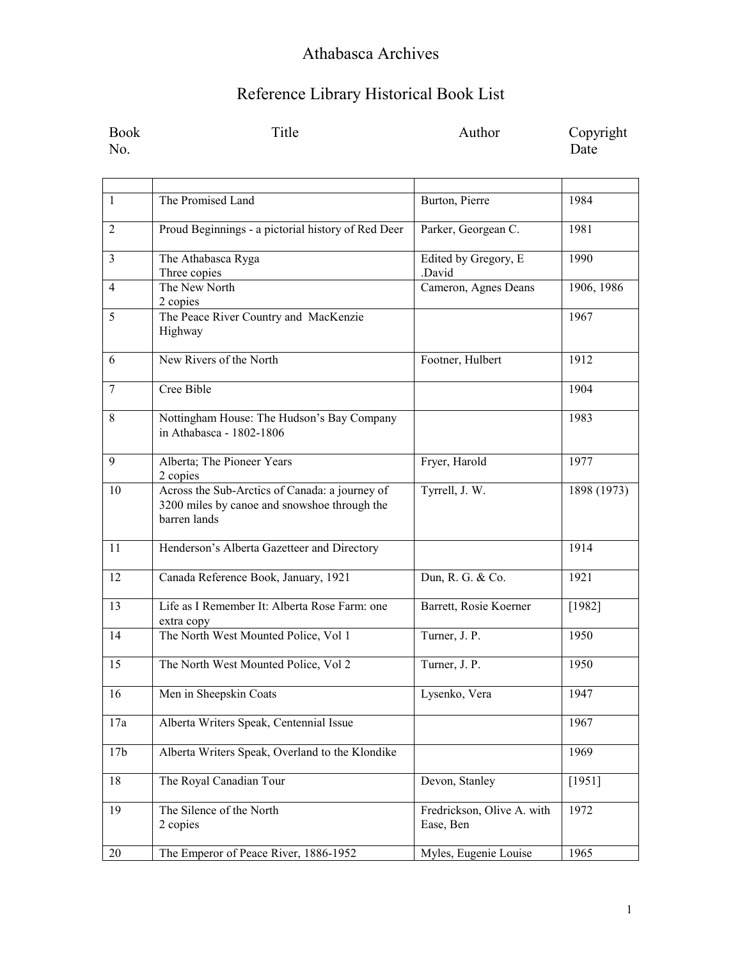| Book | Title | Author | Copyright |
|------|-------|--------|-----------|
| No.  |       |        | Date      |

| $\mathbf{1}$    | The Promised Land                                                                                              | Burton, Pierre                          | 1984        |
|-----------------|----------------------------------------------------------------------------------------------------------------|-----------------------------------------|-------------|
| $\overline{2}$  | Proud Beginnings - a pictorial history of Red Deer                                                             | Parker, Georgean C.                     | 1981        |
| 3               | The Athabasca Ryga<br>Three copies                                                                             | Edited by Gregory, E<br>.David          | 1990        |
| 4               | The New North<br>2 copies                                                                                      | Cameron, Agnes Deans                    | 1906, 1986  |
| 5               | The Peace River Country and MacKenzie<br>Highway                                                               |                                         | 1967        |
| 6               | New Rivers of the North                                                                                        | Footner, Hulbert                        | 1912        |
| $\tau$          | Cree Bible                                                                                                     |                                         | 1904        |
| 8               | Nottingham House: The Hudson's Bay Company<br>in Athabasca - 1802-1806                                         |                                         | 1983        |
| 9               | Alberta; The Pioneer Years<br>2 copies                                                                         | Fryer, Harold                           | 1977        |
| 10              | Across the Sub-Arctics of Canada: a journey of<br>3200 miles by canoe and snowshoe through the<br>barren lands | Tyrrell, J. W.                          | 1898 (1973) |
| 11              | Henderson's Alberta Gazetteer and Directory                                                                    |                                         | 1914        |
| 12              | Canada Reference Book, January, 1921                                                                           | Dun, R. G. & Co.                        | 1921        |
| 13              | Life as I Remember It: Alberta Rose Farm: one<br>extra copy                                                    | Barrett, Rosie Koerner                  | [1982]      |
| 14              | The North West Mounted Police, Vol 1                                                                           | Turner, J. P.                           | 1950        |
| 15              | The North West Mounted Police, Vol 2                                                                           | Turner, J. P.                           | 1950        |
| 16              | Men in Sheepskin Coats                                                                                         | Lysenko, Vera                           | 1947        |
| 17a             | Alberta Writers Speak, Centennial Issue                                                                        |                                         | 1967        |
| 17 <sub>b</sub> | Alberta Writers Speak, Overland to the Klondike                                                                |                                         | 1969        |
| 18              | The Royal Canadian Tour                                                                                        | Devon, Stanley                          | [1951]      |
| 19              | The Silence of the North<br>2 copies                                                                           | Fredrickson, Olive A. with<br>Ease, Ben | 1972        |
| 20              | The Emperor of Peace River, 1886-1952                                                                          | Myles, Eugenie Louise                   | 1965        |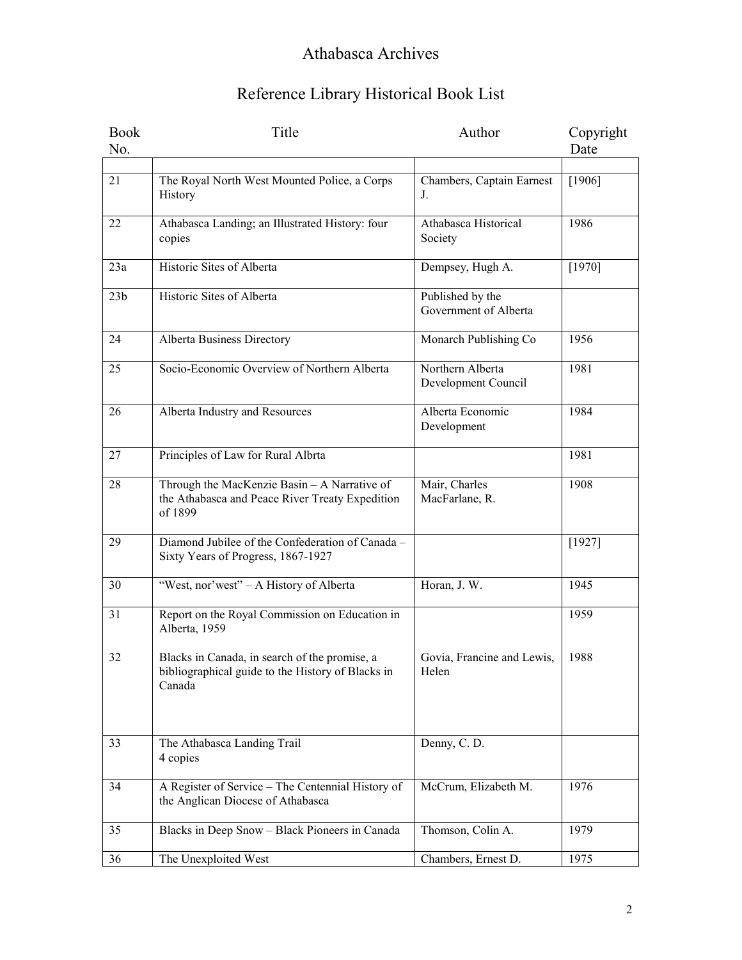| <b>Book</b>     | Title                                                                                                        | Author                                    | Copyright |
|-----------------|--------------------------------------------------------------------------------------------------------------|-------------------------------------------|-----------|
| No.             |                                                                                                              |                                           | Date      |
|                 |                                                                                                              |                                           |           |
| 21              | The Royal North West Mounted Police, a Corps<br>History                                                      | Chambers, Captain Earnest<br>J.           | [1906]    |
| 22              | Athabasca Landing; an Illustrated History: four<br>copies                                                    | Athabasca Historical<br>Society           | 1986      |
| 23a             | Historic Sites of Alberta                                                                                    | Dempsey, Hugh A.                          | [1970]    |
| 23 <sub>b</sub> | Historic Sites of Alberta                                                                                    | Published by the<br>Government of Alberta |           |
| 24              | Alberta Business Directory                                                                                   | Monarch Publishing Co                     | 1956      |
| 25              | Socio-Economic Overview of Northern Alberta                                                                  | Northern Alberta<br>Development Council   | 1981      |
| 26              | Alberta Industry and Resources                                                                               | Alberta Economic<br>Development           | 1984      |
| 27              | Principles of Law for Rural Albrta                                                                           |                                           | 1981      |
| 28              | Through the MacKenzie Basin - A Narrative of<br>the Athabasca and Peace River Treaty Expedition<br>of 1899   | Mair, Charles<br>MacFarlane, R.           | 1908      |
| 29              | Diamond Jubilee of the Confederation of Canada -<br>Sixty Years of Progress, 1867-1927                       |                                           | [1927]    |
| 30              | "West, nor'west" - A History of Alberta                                                                      | Horan, J. W.                              | 1945      |
| 31              | Report on the Royal Commission on Education in<br>Alberta, 1959                                              |                                           | 1959      |
| 32              | Blacks in Canada, in search of the promise, a<br>bibliographical guide to the History of Blacks in<br>Canada | Govia, Francine and Lewis,<br>Helen       | 1988      |
| 33              | The Athabasca Landing Trail<br>4 copies                                                                      | Denny, C. D.                              |           |
| 34              | A Register of Service - The Centennial History of<br>the Anglican Diocese of Athabasca                       | McCrum, Elizabeth M.                      | 1976      |
| 35              | Blacks in Deep Snow - Black Pioneers in Canada                                                               | Thomson, Colin A.                         | 1979      |
| 36              | The Unexploited West                                                                                         | Chambers, Ernest D.                       | 1975      |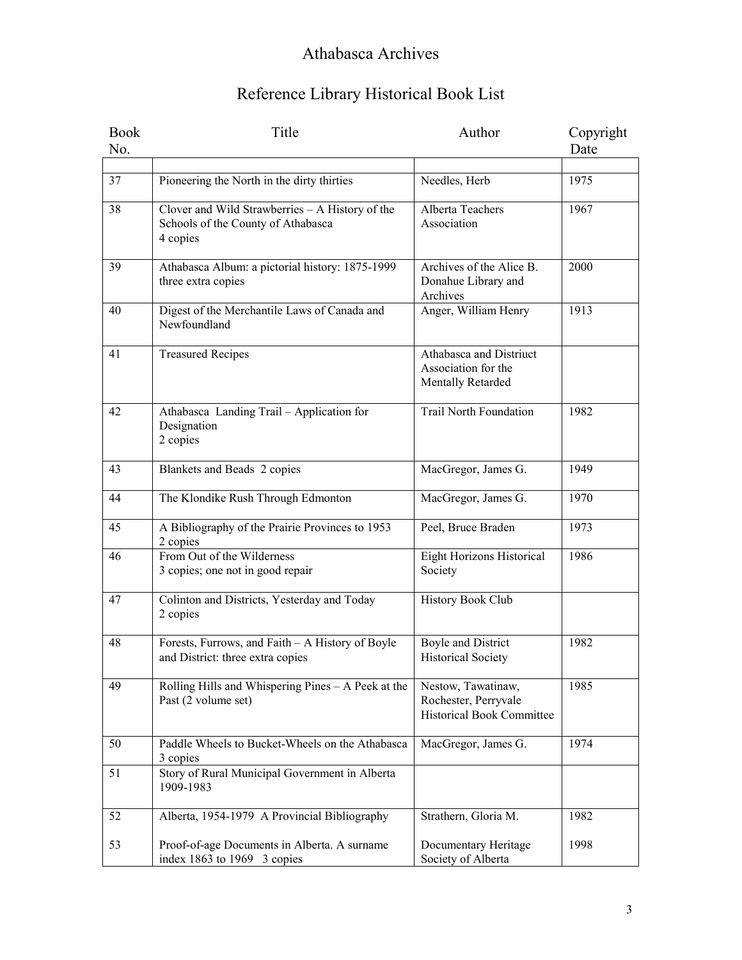| <b>Book</b><br>No. | Title                                                                                             | Author                                                                         | Copyright<br>Date |
|--------------------|---------------------------------------------------------------------------------------------------|--------------------------------------------------------------------------------|-------------------|
|                    |                                                                                                   |                                                                                |                   |
| 37                 | Pioneering the North in the dirty thirties                                                        | Needles, Herb                                                                  | 1975              |
| 38                 | Clover and Wild Strawberries - A History of the<br>Schools of the County of Athabasca<br>4 copies | Alberta Teachers<br>Association                                                | 1967              |
| 39                 | Athabasca Album: a pictorial history: 1875-1999<br>three extra copies                             | Archives of the Alice B.<br>Donahue Library and<br>Archives                    | 2000              |
| 40                 | Digest of the Merchantile Laws of Canada and<br>Newfoundland                                      | Anger, William Henry                                                           | 1913              |
| 41                 | <b>Treasured Recipes</b>                                                                          | Athabasca and Distriuct<br>Association for the<br>Mentally Retarded            |                   |
| 42                 | Athabasca Landing Trail - Application for<br>Designation<br>2 copies                              | <b>Trail North Foundation</b>                                                  | 1982              |
| 43                 | Blankets and Beads 2 copies                                                                       | MacGregor, James G.                                                            | 1949              |
| 44                 | The Klondike Rush Through Edmonton                                                                | MacGregor, James G.                                                            | 1970              |
| 45                 | A Bibliography of the Prairie Provinces to 1953<br>2 copies                                       | Peel, Bruce Braden                                                             | 1973              |
| 46                 | From Out of the Wilderness<br>3 copies; one not in good repair                                    | Eight Horizons Historical<br>Society                                           | 1986              |
| 47                 | Colinton and Districts, Yesterday and Today<br>2 copies                                           | History Book Club                                                              |                   |
| 48                 | Forests, Furrows, and Faith - A History of Boyle<br>and District: three extra copies              | <b>Boyle and District</b><br><b>Historical Society</b>                         | 1982              |
| 49                 | Rolling Hills and Whispering Pines - A Peek at the<br>Past (2 volume set)                         | Nestow, Tawatinaw,<br>Rochester, Perryvale<br><b>Historical Book Committee</b> | 1985              |
| 50                 | Paddle Wheels to Bucket-Wheels on the Athabasca<br>3 copies                                       | MacGregor, James G.                                                            | 1974              |
| 51                 | Story of Rural Municipal Government in Alberta<br>1909-1983                                       |                                                                                |                   |
| 52                 | Alberta, 1954-1979 A Provincial Bibliography                                                      | Strathern, Gloria M.                                                           | 1982              |
| 53                 | Proof-of-age Documents in Alberta. A surname<br>index $1863$ to $1969$ 3 copies                   | Documentary Heritage<br>Society of Alberta                                     | 1998              |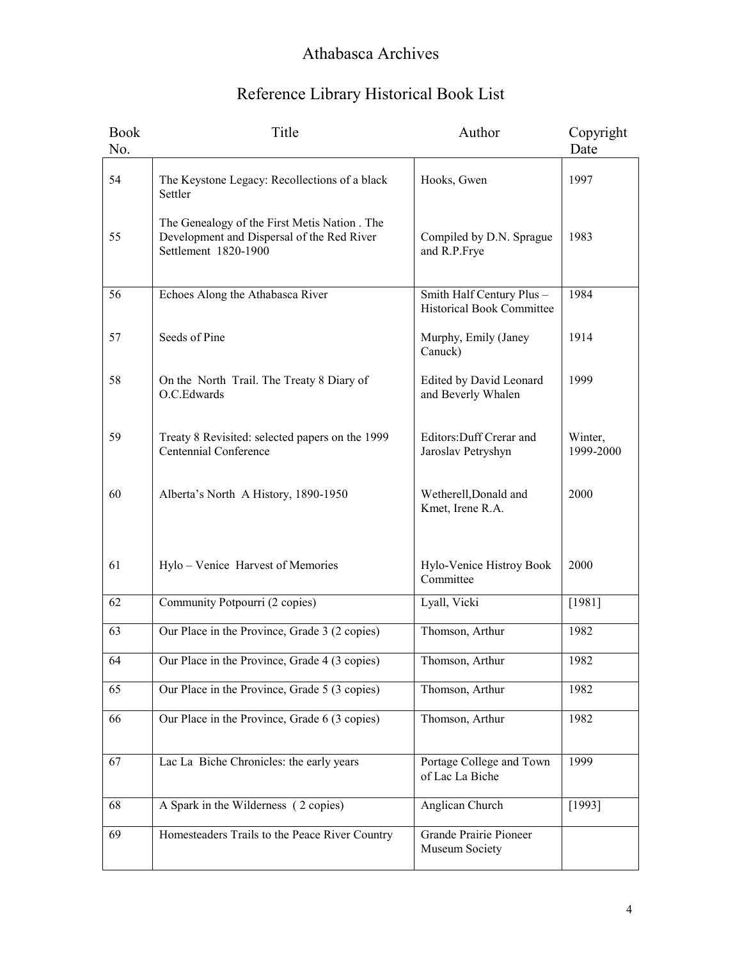| <b>Book</b><br>No. | Title                                                                                                               | Author                                                        | Copyright<br>Date    |
|--------------------|---------------------------------------------------------------------------------------------------------------------|---------------------------------------------------------------|----------------------|
| 54                 | The Keystone Legacy: Recollections of a black<br>Settler                                                            | Hooks, Gwen                                                   | 1997                 |
| 55                 | The Genealogy of the First Metis Nation . The<br>Development and Dispersal of the Red River<br>Settlement 1820-1900 | Compiled by D.N. Sprague<br>and R.P.Frye                      | 1983                 |
| 56                 | Echoes Along the Athabasca River                                                                                    | Smith Half Century Plus -<br><b>Historical Book Committee</b> | 1984                 |
| 57                 | Seeds of Pine                                                                                                       | Murphy, Emily (Janey<br>Canuck)                               | 1914                 |
| 58                 | On the North Trail. The Treaty 8 Diary of<br>O.C.Edwards                                                            | Edited by David Leonard<br>and Beverly Whalen                 | 1999                 |
| 59                 | Treaty 8 Revisited: selected papers on the 1999<br>Centennial Conference                                            | Editors: Duff Crerar and<br>Jaroslav Petryshyn                | Winter,<br>1999-2000 |
| 60                 | Alberta's North A History, 1890-1950                                                                                | Wetherell, Donald and<br>Kmet, Irene R.A.                     | 2000                 |
| 61                 | Hylo - Venice Harvest of Memories                                                                                   | Hylo-Venice Histroy Book<br>Committee                         | 2000                 |
| 62                 | Community Potpourri (2 copies)                                                                                      | Lyall, Vicki                                                  | [1981]               |
| 63                 | Our Place in the Province, Grade 3 (2 copies)                                                                       | Thomson, Arthur                                               | 1982                 |
| 64                 | Our Place in the Province, Grade 4 (3 copies)                                                                       | Thomson, Arthur                                               | 1982                 |
| 65                 | Our Place in the Province, Grade 5 (3 copies)                                                                       | Thomson, Arthur                                               | 1982                 |
| 66                 | Our Place in the Province, Grade 6 (3 copies)                                                                       | Thomson, Arthur                                               | 1982                 |
| 67                 | Lac La Biche Chronicles: the early years                                                                            | Portage College and Town<br>of Lac La Biche                   | 1999                 |
| 68                 | A Spark in the Wilderness (2 copies)                                                                                | Anglican Church                                               | [1993]               |
| 69                 | Homesteaders Trails to the Peace River Country                                                                      | Grande Prairie Pioneer<br>Museum Society                      |                      |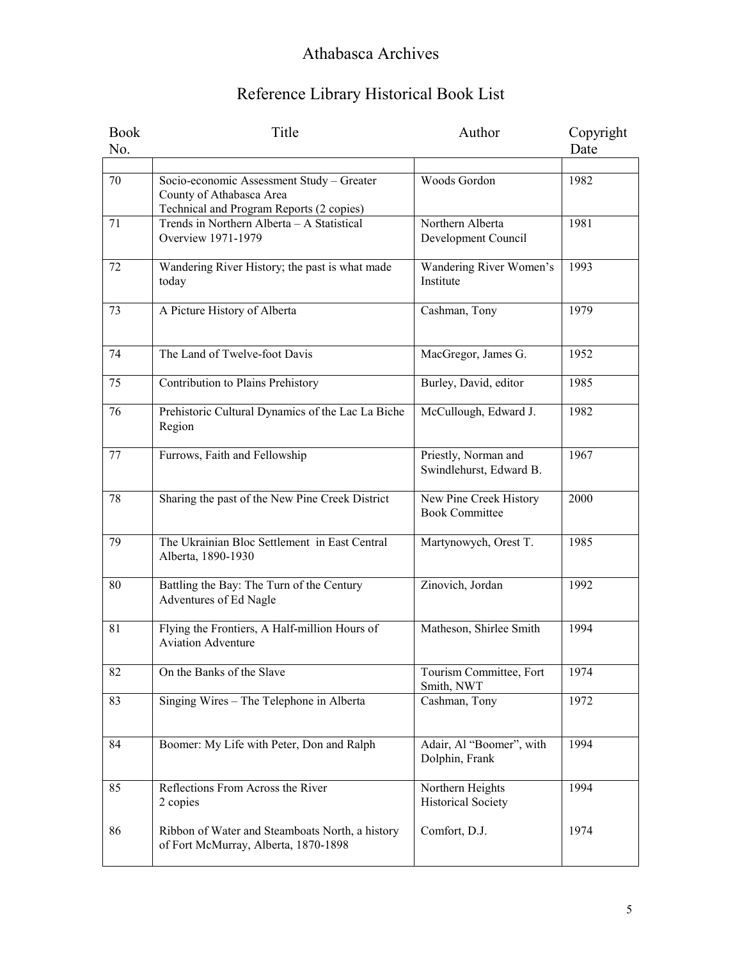| <b>Book</b> | Title                                                               | Author                    | Copyright |
|-------------|---------------------------------------------------------------------|---------------------------|-----------|
| No.         |                                                                     |                           | Date      |
|             |                                                                     |                           |           |
| 70          | Socio-economic Assessment Study - Greater                           | Woods Gordon              | 1982      |
|             | County of Athabasca Area                                            |                           |           |
|             | Technical and Program Reports (2 copies)                            |                           |           |
| 71          | Trends in Northern Alberta - A Statistical                          | Northern Alberta          | 1981      |
|             | <b>Overview 1971-1979</b>                                           | Development Council       |           |
| 72          | Wandering River History; the past is what made                      | Wandering River Women's   | 1993      |
|             | today                                                               | Institute                 |           |
|             |                                                                     |                           |           |
| 73          | A Picture History of Alberta                                        | Cashman, Tony             | 1979      |
|             |                                                                     |                           |           |
|             |                                                                     |                           |           |
| 74          | The Land of Twelve-foot Davis                                       | MacGregor, James G.       | 1952      |
| 75          | Contribution to Plains Prehistory                                   | Burley, David, editor     | 1985      |
|             |                                                                     |                           |           |
| 76          | Prehistoric Cultural Dynamics of the Lac La Biche                   | McCullough, Edward J.     | 1982      |
|             | Region                                                              |                           |           |
|             |                                                                     |                           |           |
| 77          | Furrows, Faith and Fellowship                                       | Priestly, Norman and      | 1967      |
|             |                                                                     | Swindlehurst, Edward B.   |           |
| 78          | Sharing the past of the New Pine Creek District                     | New Pine Creek History    | 2000      |
|             |                                                                     | <b>Book Committee</b>     |           |
|             |                                                                     |                           |           |
| 79          | The Ukrainian Bloc Settlement in East Central                       | Martynowych, Orest T.     | 1985      |
|             | Alberta, 1890-1930                                                  |                           |           |
|             |                                                                     | Zinovich, Jordan          | 1992      |
| 80          | Battling the Bay: The Turn of the Century<br>Adventures of Ed Nagle |                           |           |
|             |                                                                     |                           |           |
| 81          | Flying the Frontiers, A Half-million Hours of                       | Matheson, Shirlee Smith   | 1994      |
|             | <b>Aviation Adventure</b>                                           |                           |           |
|             |                                                                     |                           |           |
| 82          | On the Banks of the Slave                                           | Tourism Committee, Fort   | 1974      |
| 83          | Singing Wires - The Telephone in Alberta                            | Smith, NWT                | 1972      |
|             |                                                                     | Cashman, Tony             |           |
|             |                                                                     |                           |           |
| 84          | Boomer: My Life with Peter, Don and Ralph                           | Adair, Al "Boomer", with  | 1994      |
|             |                                                                     | Dolphin, Frank            |           |
|             |                                                                     |                           |           |
| 85          | Reflections From Across the River                                   | Northern Heights          | 1994      |
|             | 2 copies                                                            | <b>Historical Society</b> |           |
| 86          | Ribbon of Water and Steamboats North, a history                     | Comfort, D.J.             | 1974      |
|             | of Fort McMurray, Alberta, 1870-1898                                |                           |           |
|             |                                                                     |                           |           |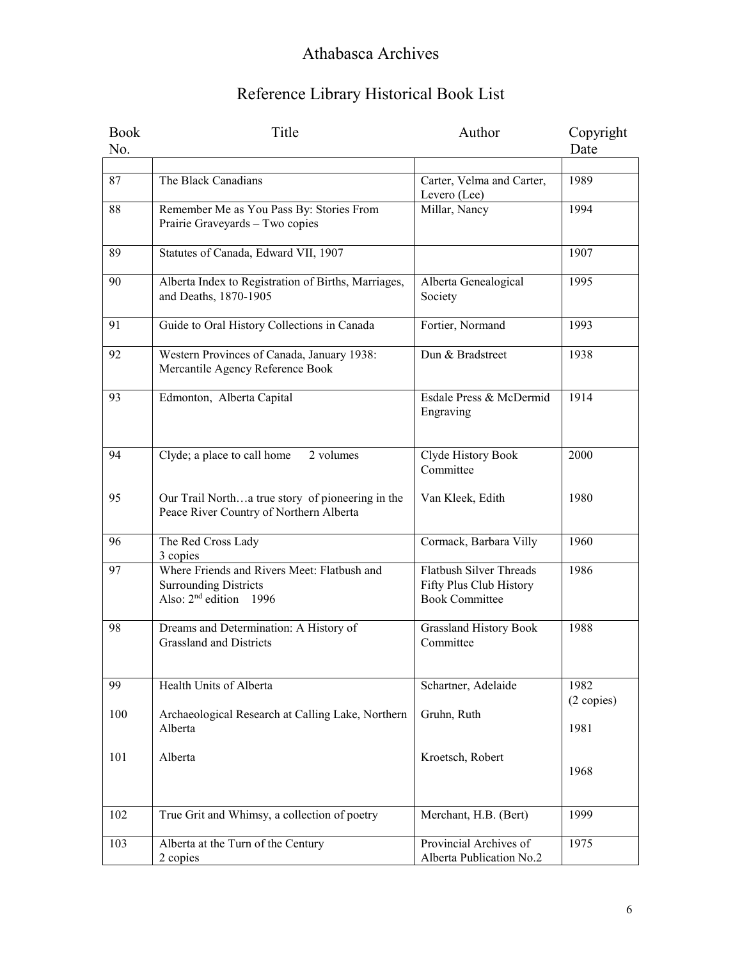| <b>Book</b> | Title                                                                       | Author                                     | Copyright  |
|-------------|-----------------------------------------------------------------------------|--------------------------------------------|------------|
| No.         |                                                                             |                                            | Date       |
|             |                                                                             |                                            |            |
| 87          | The Black Canadians                                                         | Carter, Velma and Carter,                  | 1989       |
|             |                                                                             | Levero (Lee)                               |            |
| 88          | Remember Me as You Pass By: Stories From<br>Prairie Graveyards - Two copies | Millar, Nancy                              | 1994       |
|             |                                                                             |                                            |            |
| 89          | Statutes of Canada, Edward VII, 1907                                        |                                            | 1907       |
|             |                                                                             |                                            |            |
| 90          | Alberta Index to Registration of Births, Marriages,                         | Alberta Genealogical                       | 1995       |
|             | and Deaths, 1870-1905                                                       | Society                                    |            |
| 91          | Guide to Oral History Collections in Canada                                 | Fortier, Normand                           | 1993       |
|             |                                                                             |                                            |            |
| 92          | Western Provinces of Canada, January 1938:                                  | Dun & Bradstreet                           | 1938       |
|             | Mercantile Agency Reference Book                                            |                                            |            |
|             |                                                                             |                                            |            |
| 93          | Edmonton, Alberta Capital                                                   | Esdale Press & McDermid                    | 1914       |
|             |                                                                             | Engraving                                  |            |
|             |                                                                             |                                            |            |
| 94          | Clyde; a place to call home<br>2 volumes                                    | Clyde History Book                         | 2000       |
|             |                                                                             | Committee                                  |            |
|             |                                                                             |                                            |            |
| 95          | Our Trail Northa true story of pioneering in the                            | Van Kleek, Edith                           | 1980       |
|             | Peace River Country of Northern Alberta                                     |                                            |            |
| 96          | The Red Cross Lady                                                          | Cormack, Barbara Villy                     | 1960       |
|             | 3 copies                                                                    |                                            |            |
| 97          | Where Friends and Rivers Meet: Flatbush and                                 | Flatbush Silver Threads                    | 1986       |
|             | <b>Surrounding Districts</b>                                                | Fifty Plus Club History                    |            |
|             | Also: $2nd$ edition 1996                                                    | <b>Book Committee</b>                      |            |
| 98          |                                                                             |                                            | 1988       |
|             | Dreams and Determination: A History of<br><b>Grassland and Districts</b>    | <b>Grassland History Book</b><br>Committee |            |
|             |                                                                             |                                            |            |
|             |                                                                             |                                            |            |
| 99          | Health Units of Alberta                                                     | Schartner, Adelaide                        | 1982       |
|             |                                                                             |                                            | (2 copies) |
| 100         | Archaeological Research at Calling Lake, Northern                           | Gruhn, Ruth                                |            |
|             | Alberta                                                                     |                                            | 1981       |
| 101         | Alberta                                                                     | Kroetsch, Robert                           |            |
|             |                                                                             |                                            | 1968       |
|             |                                                                             |                                            |            |
|             |                                                                             |                                            |            |
| 102         | True Grit and Whimsy, a collection of poetry                                | Merchant, H.B. (Bert)                      | 1999       |
| 103         | Alberta at the Turn of the Century                                          | Provincial Archives of                     | 1975       |
|             | 2 copies                                                                    | Alberta Publication No.2                   |            |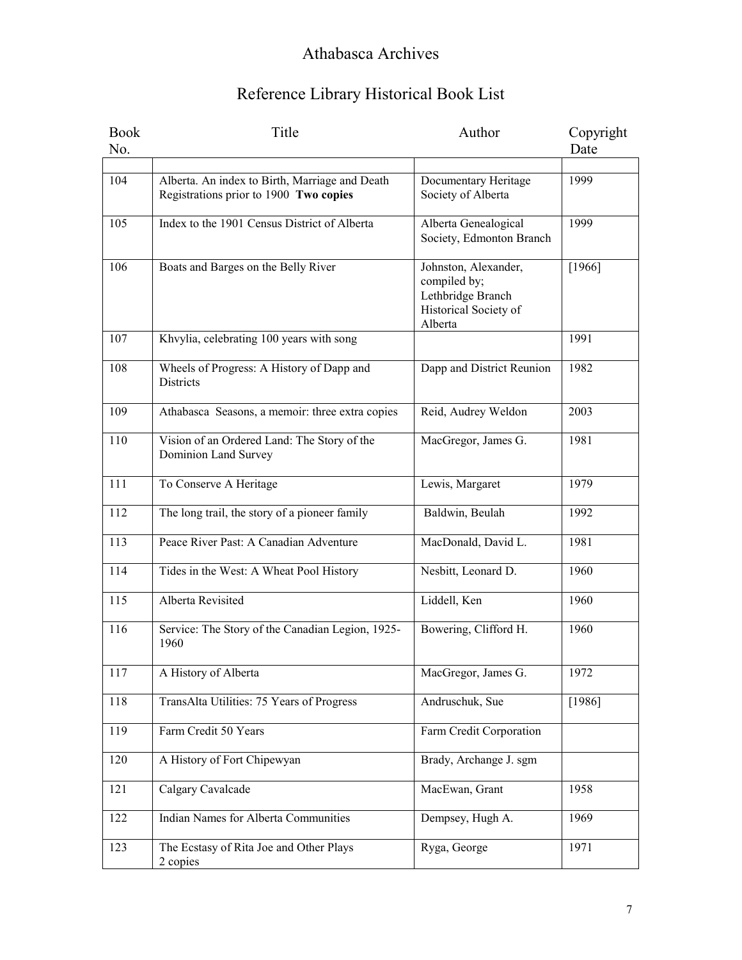| <b>Book</b> | Title                                                                                    | Author                                                                                        | Copyright |
|-------------|------------------------------------------------------------------------------------------|-----------------------------------------------------------------------------------------------|-----------|
| No.         |                                                                                          |                                                                                               | Date      |
|             |                                                                                          |                                                                                               |           |
| 104         | Alberta. An index to Birth, Marriage and Death<br>Registrations prior to 1900 Two copies | Documentary Heritage<br>Society of Alberta                                                    | 1999      |
| 105         | Index to the 1901 Census District of Alberta                                             | Alberta Genealogical<br>Society, Edmonton Branch                                              | 1999      |
| 106         | Boats and Barges on the Belly River                                                      | Johnston, Alexander,<br>compiled by;<br>Lethbridge Branch<br>Historical Society of<br>Alberta | [1966]    |
| 107         | Khvylia, celebrating 100 years with song                                                 |                                                                                               | 1991      |
| 108         | Wheels of Progress: A History of Dapp and<br>Districts                                   | Dapp and District Reunion                                                                     | 1982      |
| 109         | Athabasca Seasons, a memoir: three extra copies                                          | Reid, Audrey Weldon                                                                           | 2003      |
| 110         | Vision of an Ordered Land: The Story of the<br>Dominion Land Survey                      | MacGregor, James G.                                                                           | 1981      |
| 111         | To Conserve A Heritage                                                                   | Lewis, Margaret                                                                               | 1979      |
| 112         | The long trail, the story of a pioneer family                                            | Baldwin, Beulah                                                                               | 1992      |
| 113         | Peace River Past: A Canadian Adventure                                                   | MacDonald, David L.                                                                           | 1981      |
| 114         | Tides in the West: A Wheat Pool History                                                  | Nesbitt, Leonard D.                                                                           | 1960      |
| 115         | Alberta Revisited                                                                        | Liddell, Ken                                                                                  | 1960      |
| 116         | Service: The Story of the Canadian Legion, 1925-<br>1960                                 | Bowering, Clifford H.                                                                         | 1960      |
| 117         | A History of Alberta                                                                     | MacGregor, James G.                                                                           | 1972      |
| 118         | TransAlta Utilities: 75 Years of Progress                                                | Andruschuk, Sue                                                                               | [1986]    |
| 119         | Farm Credit 50 Years                                                                     | Farm Credit Corporation                                                                       |           |
| 120         | A History of Fort Chipewyan                                                              | Brady, Archange J. sgm                                                                        |           |
| 121         | Calgary Cavalcade                                                                        | MacEwan, Grant                                                                                | 1958      |
| 122         | <b>Indian Names for Alberta Communities</b>                                              | Dempsey, Hugh A.                                                                              | 1969      |
| 123         | The Ecstasy of Rita Joe and Other Plays<br>2 copies                                      | Ryga, George                                                                                  | 1971      |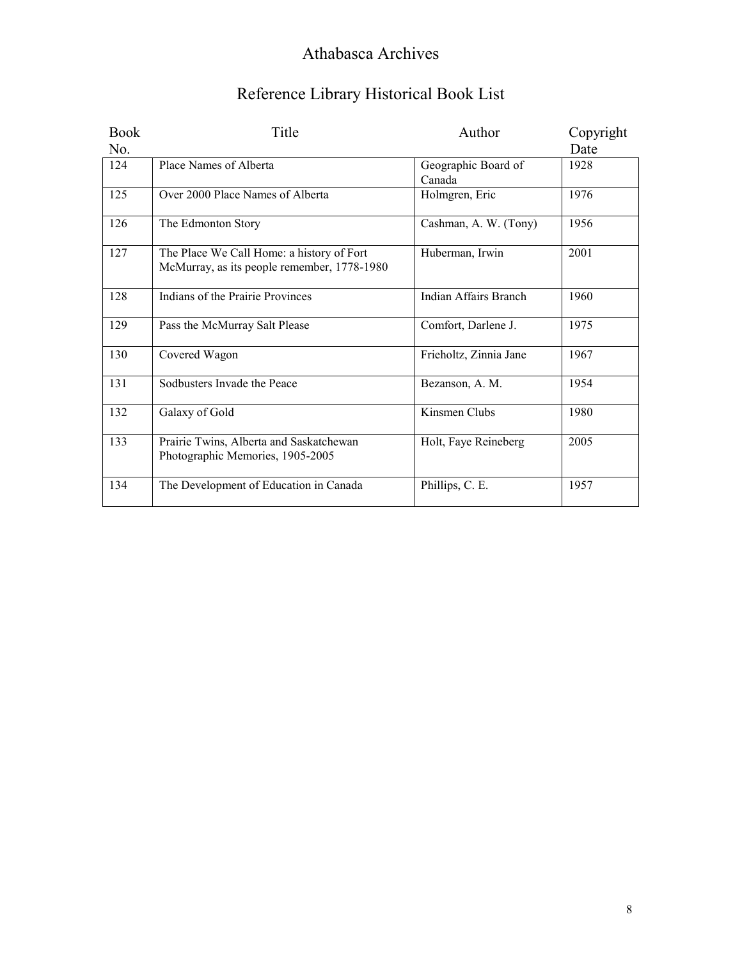| Reference Library Historical Book List |  |  |
|----------------------------------------|--|--|
|                                        |  |  |

| <b>Book</b> | Title                                                                                    | Author                 | Copyright |
|-------------|------------------------------------------------------------------------------------------|------------------------|-----------|
| No.         |                                                                                          |                        | Date      |
| 124         | Place Names of Alberta                                                                   | Geographic Board of    | 1928      |
|             |                                                                                          | Canada                 |           |
| 125         | Over 2000 Place Names of Alberta                                                         | Holmgren, Eric         | 1976      |
| 126         | The Edmonton Story                                                                       | Cashman, A. W. (Tony)  | 1956      |
| 127         | The Place We Call Home: a history of Fort<br>McMurray, as its people remember, 1778-1980 | Huberman, Irwin        | 2001      |
| 128         | Indians of the Prairie Provinces                                                         | Indian Affairs Branch  | 1960      |
| 129         | Pass the McMurray Salt Please                                                            | Comfort, Darlene J.    | 1975      |
| 130         | Covered Wagon                                                                            | Frieholtz, Zinnia Jane | 1967      |
| 131         | Sodbusters Invade the Peace                                                              | Bezanson, A. M.        | 1954      |
| 132         | Galaxy of Gold                                                                           | Kinsmen Clubs          | 1980      |
| 133         | Prairie Twins, Alberta and Saskatchewan<br>Photographic Memories, 1905-2005              | Holt, Faye Reineberg   | 2005      |
| 134         | The Development of Education in Canada                                                   | Phillips, C. E.        | 1957      |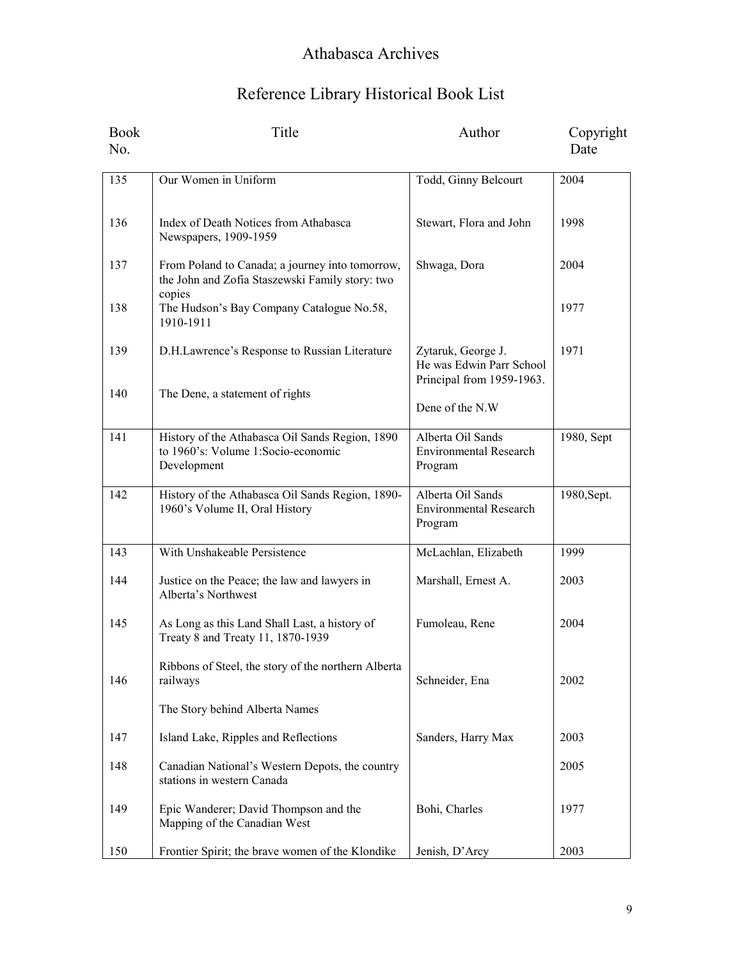| <b>Book</b><br>No. | Title                                                                                                        | Author                                                                      | Copyright<br>Date |
|--------------------|--------------------------------------------------------------------------------------------------------------|-----------------------------------------------------------------------------|-------------------|
| 135                | Our Women in Uniform                                                                                         | Todd, Ginny Belcourt                                                        | 2004              |
| 136                | Index of Death Notices from Athabasca<br>Newspapers, 1909-1959                                               | Stewart, Flora and John                                                     | 1998              |
| 137                | From Poland to Canada; a journey into tomorrow,<br>the John and Zofia Staszewski Family story: two<br>copies | Shwaga, Dora                                                                | 2004              |
| 138                | The Hudson's Bay Company Catalogue No.58,<br>1910-1911                                                       |                                                                             | 1977              |
| 139                | D.H.Lawrence's Response to Russian Literature                                                                | Zytaruk, George J.<br>He was Edwin Parr School<br>Principal from 1959-1963. | 1971              |
| 140                | The Dene, a statement of rights                                                                              | Dene of the N.W                                                             |                   |
| 141                | History of the Athabasca Oil Sands Region, 1890<br>to 1960's: Volume 1:Socio-economic<br>Development         | Alberta Oil Sands<br><b>Environmental Research</b><br>Program               | 1980, Sept        |
| 142                | History of the Athabasca Oil Sands Region, 1890-<br>1960's Volume II, Oral History                           | Alberta Oil Sands<br><b>Environmental Research</b><br>Program               | 1980, Sept.       |
| 143                | With Unshakeable Persistence                                                                                 | McLachlan, Elizabeth                                                        | 1999              |
| 144                | Justice on the Peace; the law and lawyers in<br>Alberta's Northwest                                          | Marshall, Ernest A.                                                         | 2003              |
| 145                | As Long as this Land Shall Last, a history of<br>Treaty 8 and Treaty 11, 1870-1939                           | Fumoleau, Rene                                                              | 2004              |
| 146                | Ribbons of Steel, the story of the northern Alberta<br>railways                                              | Schneider, Ena                                                              | 2002              |
|                    | The Story behind Alberta Names                                                                               |                                                                             |                   |
| 147                | Island Lake, Ripples and Reflections                                                                         | Sanders, Harry Max                                                          | 2003              |
| 148                | Canadian National's Western Depots, the country<br>stations in western Canada                                |                                                                             | 2005              |
| 149                | Epic Wanderer; David Thompson and the<br>Mapping of the Canadian West                                        | Bohi, Charles                                                               | 1977              |
| 150                | Frontier Spirit; the brave women of the Klondike                                                             | Jenish, D'Arcy                                                              | 2003              |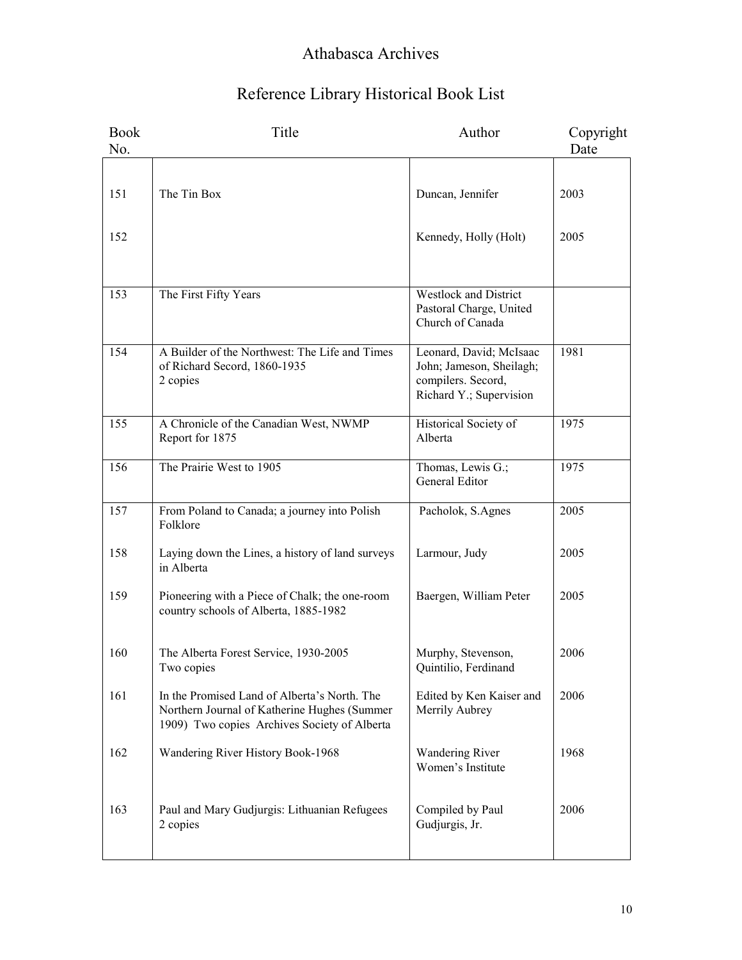| <b>Book</b><br>No. | Title                                                                                                                                        | Author                                                                                               | Copyright<br>Date |
|--------------------|----------------------------------------------------------------------------------------------------------------------------------------------|------------------------------------------------------------------------------------------------------|-------------------|
|                    |                                                                                                                                              |                                                                                                      |                   |
| 151                | The Tin Box                                                                                                                                  | Duncan, Jennifer                                                                                     | 2003              |
| 152                |                                                                                                                                              | Kennedy, Holly (Holt)                                                                                | 2005              |
| 153                | The First Fifty Years                                                                                                                        | <b>Westlock and District</b><br>Pastoral Charge, United<br>Church of Canada                          |                   |
| 154                | A Builder of the Northwest: The Life and Times<br>of Richard Secord, 1860-1935<br>2 copies                                                   | Leonard, David; McIsaac<br>John; Jameson, Sheilagh;<br>compilers. Secord,<br>Richard Y.; Supervision | 1981              |
| 155                | A Chronicle of the Canadian West, NWMP<br>Report for 1875                                                                                    | Historical Society of<br>Alberta                                                                     | 1975              |
| 156                | The Prairie West to 1905                                                                                                                     | Thomas, Lewis G.;<br>General Editor                                                                  | 1975              |
| 157                | From Poland to Canada; a journey into Polish<br>Folklore                                                                                     | Pacholok, S.Agnes                                                                                    | 2005              |
| 158                | Laying down the Lines, a history of land surveys<br>in Alberta                                                                               | Larmour, Judy                                                                                        | 2005              |
| 159                | Pioneering with a Piece of Chalk; the one-room<br>country schools of Alberta, 1885-1982                                                      | Baergen, William Peter                                                                               | 2005              |
| 160                | The Alberta Forest Service, 1930-2005<br>Two copies                                                                                          | Murphy, Stevenson,<br>Quintilio, Ferdinand                                                           | 2006              |
| 161                | In the Promised Land of Alberta's North. The<br>Northern Journal of Katherine Hughes (Summer<br>1909) Two copies Archives Society of Alberta | Edited by Ken Kaiser and<br>Merrily Aubrey                                                           | 2006              |
| 162                | Wandering River History Book-1968                                                                                                            | <b>Wandering River</b><br>Women's Institute                                                          | 1968              |
| 163                | Paul and Mary Gudjurgis: Lithuanian Refugees<br>2 copies                                                                                     | Compiled by Paul<br>Gudjurgis, Jr.                                                                   | 2006              |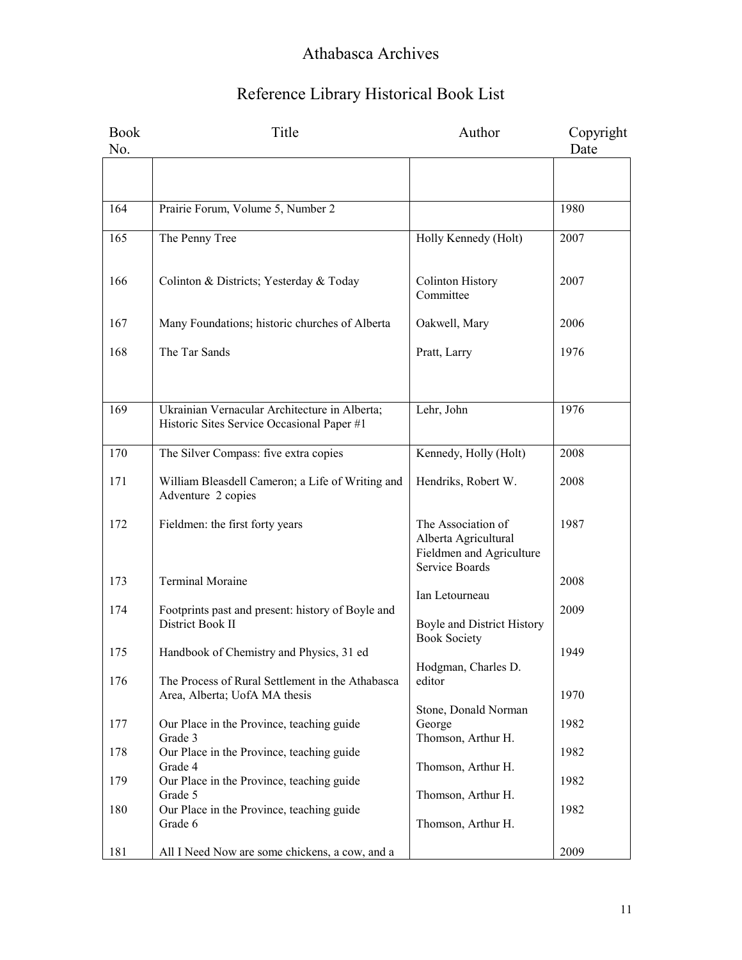| <b>Book</b><br>No. | Title                                                                                       | Author                                                                                   | Copyright<br>Date |
|--------------------|---------------------------------------------------------------------------------------------|------------------------------------------------------------------------------------------|-------------------|
|                    |                                                                                             |                                                                                          |                   |
| 164                | Prairie Forum, Volume 5, Number 2                                                           |                                                                                          | 1980              |
| 165                | The Penny Tree                                                                              | Holly Kennedy (Holt)                                                                     | 2007              |
| 166                | Colinton & Districts; Yesterday & Today                                                     | <b>Colinton History</b><br>Committee                                                     | 2007              |
| 167                | Many Foundations; historic churches of Alberta                                              | Oakwell, Mary                                                                            | 2006              |
| 168                | The Tar Sands                                                                               | Pratt, Larry                                                                             | 1976              |
|                    |                                                                                             |                                                                                          |                   |
| 169                | Ukrainian Vernacular Architecture in Alberta;<br>Historic Sites Service Occasional Paper #1 | Lehr, John                                                                               | 1976              |
| 170                | The Silver Compass: five extra copies                                                       | Kennedy, Holly (Holt)                                                                    | 2008              |
| 171                | William Bleasdell Cameron; a Life of Writing and<br>Adventure 2 copies                      | Hendriks, Robert W.                                                                      | 2008              |
| 172                | Fieldmen: the first forty years                                                             | The Association of<br>Alberta Agricultural<br>Fieldmen and Agriculture<br>Service Boards | 1987              |
| 173                | <b>Terminal Moraine</b>                                                                     | Ian Letourneau                                                                           | 2008              |
| 174                | Footprints past and present: history of Boyle and<br>District Book II                       | Boyle and District History                                                               | 2009              |
| 175                | Handbook of Chemistry and Physics, 31 ed                                                    | <b>Book Society</b><br>Hodgman, Charles D.                                               | 1949              |
| 176                | The Process of Rural Settlement in the Athabasca<br>Area, Alberta; UofA MA thesis           | editor                                                                                   | 1970              |
| 177                | Our Place in the Province, teaching guide<br>Grade 3                                        | Stone, Donald Norman<br>George<br>Thomson, Arthur H.                                     | 1982              |
| 178                | Our Place in the Province, teaching guide<br>Grade 4                                        | Thomson, Arthur H.                                                                       | 1982              |
| 179                | Our Place in the Province, teaching guide                                                   |                                                                                          | 1982              |
| 180                | Grade 5<br>Our Place in the Province, teaching guide<br>Grade 6                             | Thomson, Arthur H.<br>Thomson, Arthur H.                                                 | 1982              |
| 181                | All I Need Now are some chickens, a cow, and a                                              |                                                                                          | 2009              |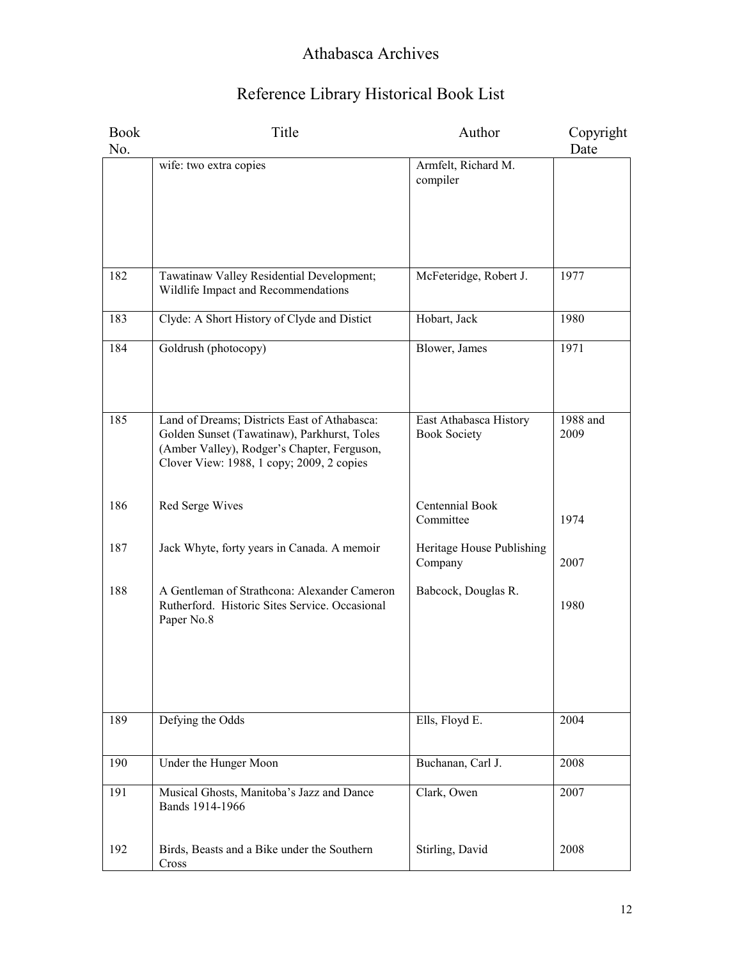| <b>Book</b><br>No. | Title                                                                                                                                                                                   | Author                                        | Copyright<br>Date |
|--------------------|-----------------------------------------------------------------------------------------------------------------------------------------------------------------------------------------|-----------------------------------------------|-------------------|
|                    | wife: two extra copies                                                                                                                                                                  | Armfelt, Richard M.<br>compiler               |                   |
| 182                | Tawatinaw Valley Residential Development;<br>Wildlife Impact and Recommendations                                                                                                        | McFeteridge, Robert J.                        | 1977              |
| 183                | Clyde: A Short History of Clyde and Distict                                                                                                                                             | Hobart, Jack                                  | 1980              |
| 184                | Goldrush (photocopy)                                                                                                                                                                    | Blower, James                                 | 1971              |
| 185                | Land of Dreams; Districts East of Athabasca:<br>Golden Sunset (Tawatinaw), Parkhurst, Toles<br>(Amber Valley), Rodger's Chapter, Ferguson,<br>Clover View: 1988, 1 copy; 2009, 2 copies | East Athabasca History<br><b>Book Society</b> | 1988 and<br>2009  |
| 186                | Red Serge Wives                                                                                                                                                                         | Centennial Book<br>Committee                  | 1974              |
| 187                | Jack Whyte, forty years in Canada. A memoir                                                                                                                                             | Heritage House Publishing<br>Company          | 2007              |
| 188                | A Gentleman of Strathcona: Alexander Cameron<br>Rutherford. Historic Sites Service. Occasional<br>Paper No.8                                                                            | Babcock, Douglas R.                           | 1980              |
| 189                | Defying the Odds                                                                                                                                                                        | Ells, Floyd E.                                | 2004              |
| 190                | Under the Hunger Moon                                                                                                                                                                   | Buchanan, Carl J.                             | 2008              |
| 191                | Musical Ghosts, Manitoba's Jazz and Dance<br>Bands 1914-1966                                                                                                                            | Clark, Owen                                   | 2007              |
| 192                | Birds, Beasts and a Bike under the Southern<br>Cross                                                                                                                                    | Stirling, David                               | 2008              |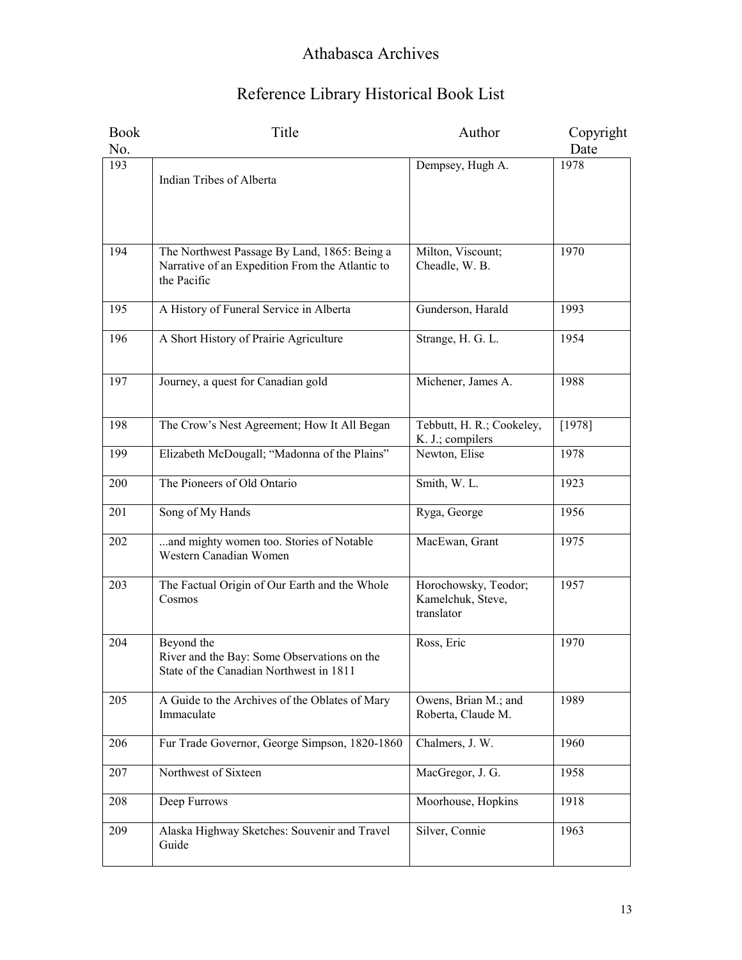| <b>Book</b> | Title                                                                                                          | Author                                                  | Copyright |
|-------------|----------------------------------------------------------------------------------------------------------------|---------------------------------------------------------|-----------|
| No.         |                                                                                                                |                                                         | Date      |
| 193         | Indian Tribes of Alberta                                                                                       | Dempsey, Hugh A.                                        | 1978      |
| 194         | The Northwest Passage By Land, 1865: Being a<br>Narrative of an Expedition From the Atlantic to<br>the Pacific | Milton, Viscount;<br>Cheadle, W. B.                     | 1970      |
| 195         | A History of Funeral Service in Alberta                                                                        | Gunderson, Harald                                       | 1993      |
| 196         | A Short History of Prairie Agriculture                                                                         | Strange, H. G. L.                                       | 1954      |
| 197         | Journey, a quest for Canadian gold                                                                             | Michener, James A.                                      | 1988      |
| 198         | The Crow's Nest Agreement; How It All Began                                                                    | Tebbutt, H. R.; Cookeley,<br>K. J.; compilers           | [1978]    |
| 199         | Elizabeth McDougall; "Madonna of the Plains"                                                                   | Newton, Elise                                           | 1978      |
| 200         | The Pioneers of Old Ontario                                                                                    | Smith, W. L.                                            | 1923      |
| 201         | Song of My Hands                                                                                               | Ryga, George                                            | 1956      |
| 202         | and mighty women too. Stories of Notable<br>Western Canadian Women                                             | MacEwan, Grant                                          | 1975      |
| 203         | The Factual Origin of Our Earth and the Whole<br>Cosmos                                                        | Horochowsky, Teodor;<br>Kamelchuk, Steve,<br>translator | 1957      |
| 204         | Beyond the<br>River and the Bay: Some Observations on the<br>State of the Canadian Northwest in 1811           | Ross, Eric                                              | 1970      |
| 205         | A Guide to the Archives of the Oblates of Mary<br>Immaculate                                                   | Owens, Brian M.; and<br>Roberta, Claude M.              | 1989      |
| 206         | Fur Trade Governor, George Simpson, 1820-1860                                                                  | Chalmers, J. W.                                         | 1960      |
| 207         | Northwest of Sixteen                                                                                           | MacGregor, J. G.                                        | 1958      |
| 208         | Deep Furrows                                                                                                   | Moorhouse, Hopkins                                      | 1918      |
| 209         | Alaska Highway Sketches: Souvenir and Travel<br>Guide                                                          | Silver, Connie                                          | 1963      |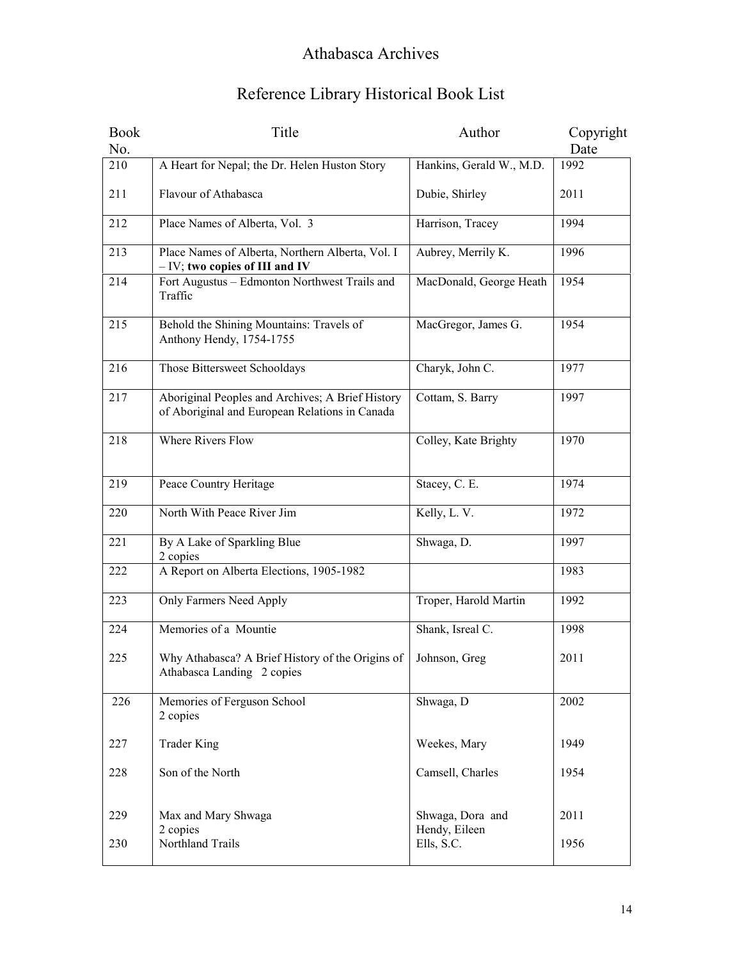| <b>Book</b> | Title                                                                                              | Author                            | Copyright |
|-------------|----------------------------------------------------------------------------------------------------|-----------------------------------|-----------|
| No.         |                                                                                                    |                                   | Date      |
| 210         | A Heart for Nepal; the Dr. Helen Huston Story                                                      | Hankins, Gerald W., M.D.          | 1992      |
| 211         | Flavour of Athabasca                                                                               | Dubie, Shirley                    | 2011      |
| 212         | Place Names of Alberta, Vol. 3                                                                     | Harrison, Tracey                  | 1994      |
| 213         | Place Names of Alberta, Northern Alberta, Vol. I<br>$-$ IV; two copies of III and IV               | Aubrey, Merrily K.                | 1996      |
| 214         | Fort Augustus - Edmonton Northwest Trails and<br>Traffic                                           | MacDonald, George Heath           | 1954      |
| 215         | Behold the Shining Mountains: Travels of<br>Anthony Hendy, 1754-1755                               | MacGregor, James G.               | 1954      |
| 216         | Those Bittersweet Schooldays                                                                       | Charyk, John C.                   | 1977      |
| 217         | Aboriginal Peoples and Archives; A Brief History<br>of Aboriginal and European Relations in Canada | Cottam, S. Barry                  | 1997      |
| 218         | <b>Where Rivers Flow</b>                                                                           | Colley, Kate Brighty              | 1970      |
| 219         | Peace Country Heritage                                                                             | Stacey, C. E.                     | 1974      |
| 220         | North With Peace River Jim                                                                         | Kelly, L.V.                       | 1972      |
| 221         | By A Lake of Sparkling Blue<br>2 copies                                                            | Shwaga, D.                        | 1997      |
| 222         | A Report on Alberta Elections, 1905-1982                                                           |                                   | 1983      |
| 223         | Only Farmers Need Apply                                                                            | Troper, Harold Martin             | 1992      |
| 224         | Memories of a Mountie                                                                              | Shank, Isreal C.                  | 1998      |
| 225         | Why Athabasca? A Brief History of the Origins of<br>Athabasca Landing 2 copies                     | Johnson, Greg                     | 2011      |
| 226         | Memories of Ferguson School<br>2 copies                                                            | Shwaga, D                         | 2002      |
| 227         | <b>Trader King</b>                                                                                 | Weekes, Mary                      | 1949      |
| 228         | Son of the North                                                                                   | Camsell, Charles                  | 1954      |
| 229         | Max and Mary Shwaga<br>2 copies                                                                    | Shwaga, Dora and<br>Hendy, Eileen | 2011      |
| 230         | Northland Trails                                                                                   | Ells, S.C.                        | 1956      |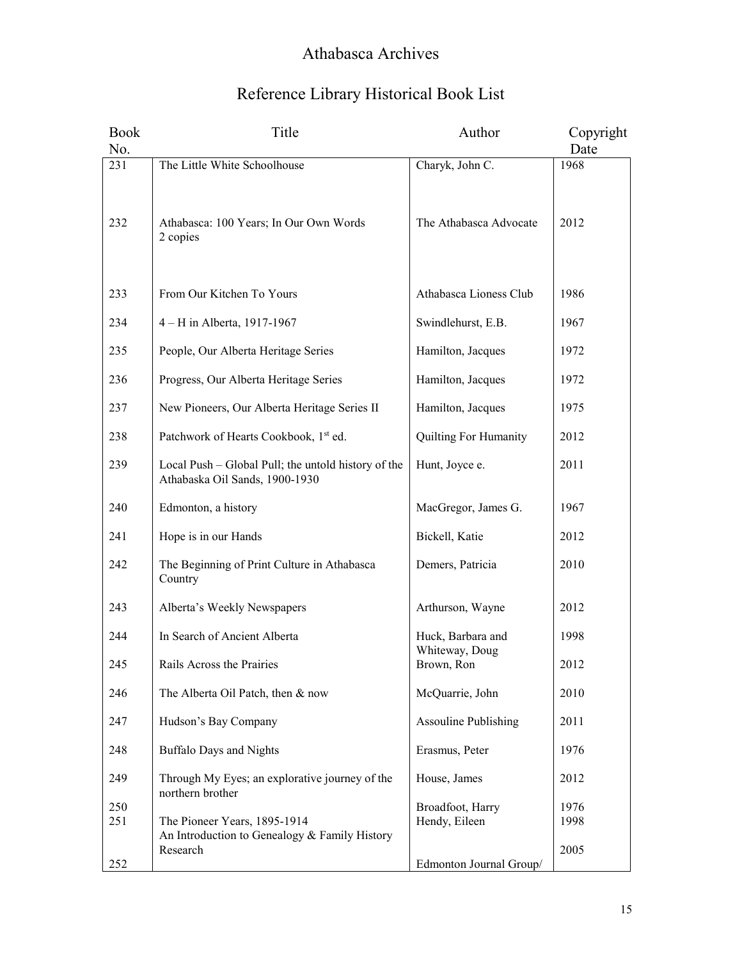| <b>Book</b> | Title                                                                                 | Author                                    | Copyright    |
|-------------|---------------------------------------------------------------------------------------|-------------------------------------------|--------------|
| No.         |                                                                                       |                                           | Date         |
| 231<br>232  | The Little White Schoolhouse<br>Athabasca: 100 Years; In Our Own Words<br>2 copies    | Charyk, John C.<br>The Athabasca Advocate | 1968<br>2012 |
| 233         | From Our Kitchen To Yours                                                             | Athabasca Lioness Club                    | 1986         |
| 234         | 4 – H in Alberta, 1917-1967                                                           | Swindlehurst, E.B.                        | 1967         |
| 235         | People, Our Alberta Heritage Series                                                   | Hamilton, Jacques                         | 1972         |
| 236         | Progress, Our Alberta Heritage Series                                                 | Hamilton, Jacques                         | 1972         |
| 237         | New Pioneers, Our Alberta Heritage Series II                                          | Hamilton, Jacques                         | 1975         |
| 238         | Patchwork of Hearts Cookbook, 1st ed.                                                 | Quilting For Humanity                     | 2012         |
| 239         | Local Push - Global Pull; the untold history of the<br>Athabaska Oil Sands, 1900-1930 | Hunt, Joyce e.                            | 2011         |
| 240         | Edmonton, a history                                                                   | MacGregor, James G.                       | 1967         |
| 241         | Hope is in our Hands                                                                  | Bickell, Katie                            | 2012         |
| 242         | The Beginning of Print Culture in Athabasca<br>Country                                | Demers, Patricia                          | 2010         |
| 243         | Alberta's Weekly Newspapers                                                           | Arthurson, Wayne                          | 2012         |
| 244         | In Search of Ancient Alberta                                                          | Huck, Barbara and<br>Whiteway, Doug       | 1998         |
| 245         | Rails Across the Prairies                                                             | Brown, Ron                                | 2012         |
| 246         | The Alberta Oil Patch, then & now                                                     | McQuarrie, John                           | 2010         |
| 247         | Hudson's Bay Company                                                                  | <b>Assouline Publishing</b>               | 2011         |
| 248         | <b>Buffalo Days and Nights</b>                                                        | Erasmus, Peter                            | 1976         |
| 249         | Through My Eyes; an explorative journey of the<br>northern brother                    | House, James                              | 2012         |
| 250<br>251  | The Pioneer Years, 1895-1914<br>An Introduction to Genealogy & Family History         | Broadfoot, Harry<br>Hendy, Eileen         | 1976<br>1998 |
| 252         | Research                                                                              | Edmonton Journal Group/                   | 2005         |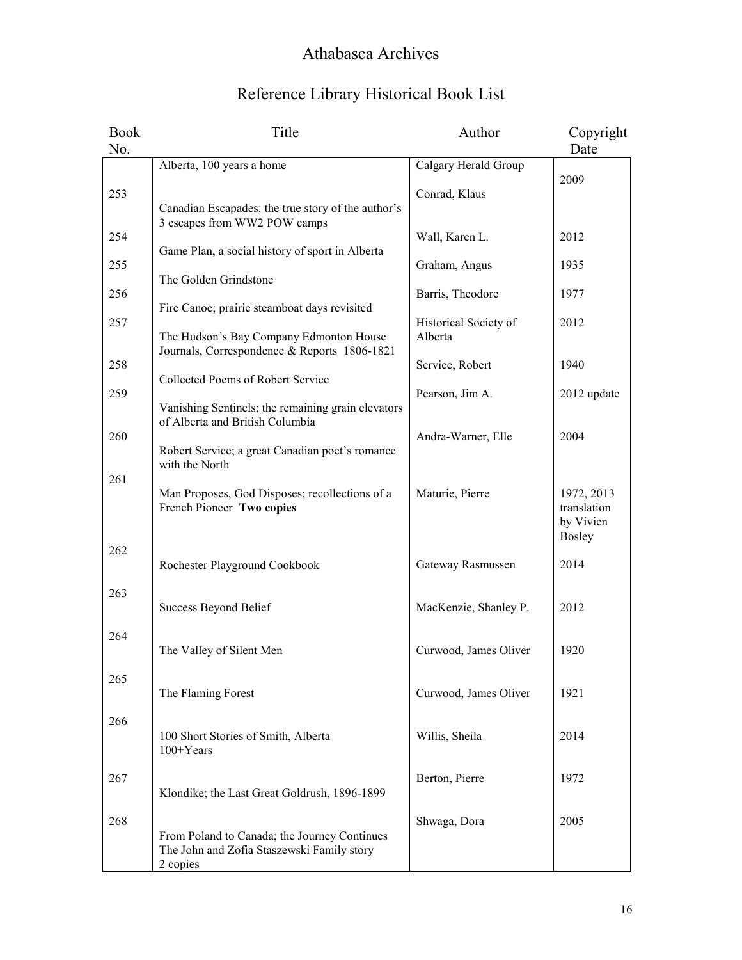| Title                                           | Author                                                                                                                                                                                                                                                                                                                                                                                                                                                                                                                                                                                                                                                   | Copyright                                                                                                                                                                                                           |
|-------------------------------------------------|----------------------------------------------------------------------------------------------------------------------------------------------------------------------------------------------------------------------------------------------------------------------------------------------------------------------------------------------------------------------------------------------------------------------------------------------------------------------------------------------------------------------------------------------------------------------------------------------------------------------------------------------------------|---------------------------------------------------------------------------------------------------------------------------------------------------------------------------------------------------------------------|
|                                                 |                                                                                                                                                                                                                                                                                                                                                                                                                                                                                                                                                                                                                                                          | Date                                                                                                                                                                                                                |
| Alberta, 100 years a home                       |                                                                                                                                                                                                                                                                                                                                                                                                                                                                                                                                                                                                                                                          |                                                                                                                                                                                                                     |
|                                                 |                                                                                                                                                                                                                                                                                                                                                                                                                                                                                                                                                                                                                                                          | 2009                                                                                                                                                                                                                |
|                                                 |                                                                                                                                                                                                                                                                                                                                                                                                                                                                                                                                                                                                                                                          |                                                                                                                                                                                                                     |
|                                                 |                                                                                                                                                                                                                                                                                                                                                                                                                                                                                                                                                                                                                                                          |                                                                                                                                                                                                                     |
|                                                 | Wall, Karen L.                                                                                                                                                                                                                                                                                                                                                                                                                                                                                                                                                                                                                                           | 2012                                                                                                                                                                                                                |
| Game Plan, a social history of sport in Alberta |                                                                                                                                                                                                                                                                                                                                                                                                                                                                                                                                                                                                                                                          |                                                                                                                                                                                                                     |
|                                                 |                                                                                                                                                                                                                                                                                                                                                                                                                                                                                                                                                                                                                                                          | 1935                                                                                                                                                                                                                |
|                                                 |                                                                                                                                                                                                                                                                                                                                                                                                                                                                                                                                                                                                                                                          | 1977                                                                                                                                                                                                                |
|                                                 |                                                                                                                                                                                                                                                                                                                                                                                                                                                                                                                                                                                                                                                          |                                                                                                                                                                                                                     |
|                                                 | Historical Society of                                                                                                                                                                                                                                                                                                                                                                                                                                                                                                                                                                                                                                    | 2012                                                                                                                                                                                                                |
| The Hudson's Bay Company Edmonton House         | Alberta                                                                                                                                                                                                                                                                                                                                                                                                                                                                                                                                                                                                                                                  |                                                                                                                                                                                                                     |
|                                                 |                                                                                                                                                                                                                                                                                                                                                                                                                                                                                                                                                                                                                                                          |                                                                                                                                                                                                                     |
|                                                 |                                                                                                                                                                                                                                                                                                                                                                                                                                                                                                                                                                                                                                                          | 1940                                                                                                                                                                                                                |
|                                                 |                                                                                                                                                                                                                                                                                                                                                                                                                                                                                                                                                                                                                                                          | 2012 update                                                                                                                                                                                                         |
|                                                 |                                                                                                                                                                                                                                                                                                                                                                                                                                                                                                                                                                                                                                                          |                                                                                                                                                                                                                     |
| of Alberta and British Columbia                 |                                                                                                                                                                                                                                                                                                                                                                                                                                                                                                                                                                                                                                                          |                                                                                                                                                                                                                     |
|                                                 | Andra-Warner, Elle                                                                                                                                                                                                                                                                                                                                                                                                                                                                                                                                                                                                                                       | 2004                                                                                                                                                                                                                |
|                                                 |                                                                                                                                                                                                                                                                                                                                                                                                                                                                                                                                                                                                                                                          |                                                                                                                                                                                                                     |
|                                                 |                                                                                                                                                                                                                                                                                                                                                                                                                                                                                                                                                                                                                                                          |                                                                                                                                                                                                                     |
|                                                 |                                                                                                                                                                                                                                                                                                                                                                                                                                                                                                                                                                                                                                                          | 1972, 2013                                                                                                                                                                                                          |
| French Pioneer Two copies                       |                                                                                                                                                                                                                                                                                                                                                                                                                                                                                                                                                                                                                                                          | translation                                                                                                                                                                                                         |
|                                                 |                                                                                                                                                                                                                                                                                                                                                                                                                                                                                                                                                                                                                                                          | by Vivien                                                                                                                                                                                                           |
|                                                 |                                                                                                                                                                                                                                                                                                                                                                                                                                                                                                                                                                                                                                                          | <b>Bosley</b>                                                                                                                                                                                                       |
|                                                 |                                                                                                                                                                                                                                                                                                                                                                                                                                                                                                                                                                                                                                                          | 2014                                                                                                                                                                                                                |
|                                                 |                                                                                                                                                                                                                                                                                                                                                                                                                                                                                                                                                                                                                                                          |                                                                                                                                                                                                                     |
|                                                 |                                                                                                                                                                                                                                                                                                                                                                                                                                                                                                                                                                                                                                                          |                                                                                                                                                                                                                     |
| Success Beyond Belief                           | MacKenzie, Shanley P.                                                                                                                                                                                                                                                                                                                                                                                                                                                                                                                                                                                                                                    | 2012                                                                                                                                                                                                                |
|                                                 |                                                                                                                                                                                                                                                                                                                                                                                                                                                                                                                                                                                                                                                          |                                                                                                                                                                                                                     |
|                                                 |                                                                                                                                                                                                                                                                                                                                                                                                                                                                                                                                                                                                                                                          |                                                                                                                                                                                                                     |
|                                                 |                                                                                                                                                                                                                                                                                                                                                                                                                                                                                                                                                                                                                                                          | 1920                                                                                                                                                                                                                |
|                                                 |                                                                                                                                                                                                                                                                                                                                                                                                                                                                                                                                                                                                                                                          |                                                                                                                                                                                                                     |
| The Flaming Forest                              | Curwood, James Oliver                                                                                                                                                                                                                                                                                                                                                                                                                                                                                                                                                                                                                                    | 1921                                                                                                                                                                                                                |
|                                                 |                                                                                                                                                                                                                                                                                                                                                                                                                                                                                                                                                                                                                                                          |                                                                                                                                                                                                                     |
|                                                 |                                                                                                                                                                                                                                                                                                                                                                                                                                                                                                                                                                                                                                                          |                                                                                                                                                                                                                     |
|                                                 |                                                                                                                                                                                                                                                                                                                                                                                                                                                                                                                                                                                                                                                          | 2014                                                                                                                                                                                                                |
|                                                 |                                                                                                                                                                                                                                                                                                                                                                                                                                                                                                                                                                                                                                                          |                                                                                                                                                                                                                     |
|                                                 | Berton, Pierre                                                                                                                                                                                                                                                                                                                                                                                                                                                                                                                                                                                                                                           | 1972                                                                                                                                                                                                                |
| Klondike; the Last Great Goldrush, 1896-1899    |                                                                                                                                                                                                                                                                                                                                                                                                                                                                                                                                                                                                                                                          |                                                                                                                                                                                                                     |
|                                                 |                                                                                                                                                                                                                                                                                                                                                                                                                                                                                                                                                                                                                                                          |                                                                                                                                                                                                                     |
|                                                 |                                                                                                                                                                                                                                                                                                                                                                                                                                                                                                                                                                                                                                                          | 2005                                                                                                                                                                                                                |
|                                                 |                                                                                                                                                                                                                                                                                                                                                                                                                                                                                                                                                                                                                                                          |                                                                                                                                                                                                                     |
|                                                 |                                                                                                                                                                                                                                                                                                                                                                                                                                                                                                                                                                                                                                                          |                                                                                                                                                                                                                     |
|                                                 | Canadian Escapades: the true story of the author's<br>3 escapes from WW2 POW camps<br>The Golden Grindstone<br>Fire Canoe; prairie steamboat days revisited<br>Journals, Correspondence & Reports 1806-1821<br>Collected Poems of Robert Service<br>Vanishing Sentinels; the remaining grain elevators<br>Robert Service; a great Canadian poet's romance<br>with the North<br>Man Proposes, God Disposes; recollections of a<br>Rochester Playground Cookbook<br>The Valley of Silent Men<br>100 Short Stories of Smith, Alberta<br>100+Years<br>From Poland to Canada; the Journey Continues<br>The John and Zofia Staszewski Family story<br>2 copies | Calgary Herald Group<br>Conrad, Klaus<br>Graham, Angus<br>Barris, Theodore<br>Service, Robert<br>Pearson, Jim A.<br>Maturie, Pierre<br>Gateway Rasmussen<br>Curwood, James Oliver<br>Willis, Sheila<br>Shwaga, Dora |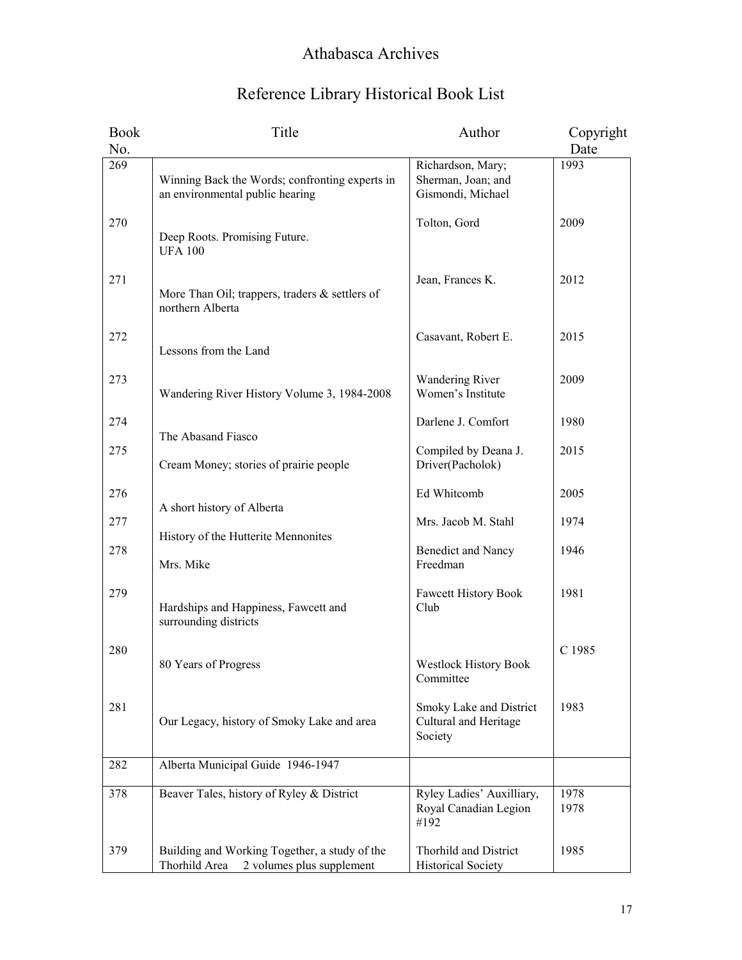| Reference Library Historical Book List |  |  |  |  |
|----------------------------------------|--|--|--|--|
|----------------------------------------|--|--|--|--|

| <b>Book</b> | Title                                                                                       | Author                                                       | Copyright    |
|-------------|---------------------------------------------------------------------------------------------|--------------------------------------------------------------|--------------|
| No.         |                                                                                             |                                                              | Date         |
| 269         | Winning Back the Words; confronting experts in<br>an environmental public hearing           | Richardson, Mary;<br>Sherman, Joan; and<br>Gismondi, Michael | 1993         |
| 270         | Deep Roots. Promising Future.<br><b>UFA 100</b>                                             | Tolton, Gord                                                 | 2009         |
| 271         | More Than Oil; trappers, traders & settlers of<br>northern Alberta                          | Jean, Frances K.                                             | 2012         |
| 272         | Lessons from the Land                                                                       | Casavant, Robert E.                                          | 2015         |
| 273         | Wandering River History Volume 3, 1984-2008                                                 | <b>Wandering River</b><br>Women's Institute                  | 2009         |
| 274         | The Abasand Fiasco                                                                          | Darlene J. Comfort                                           | 1980         |
| 275         | Cream Money; stories of prairie people                                                      | Compiled by Deana J.<br>Driver(Pacholok)                     | 2015         |
| 276         |                                                                                             | Ed Whitcomb                                                  | 2005         |
| 277         | A short history of Alberta<br>History of the Hutterite Mennonites                           | Mrs. Jacob M. Stahl                                          | 1974         |
| 278         | Mrs. Mike                                                                                   | <b>Benedict and Nancy</b><br>Freedman                        | 1946         |
| 279         | Hardships and Happiness, Fawcett and<br>surrounding districts                               | Fawcett History Book<br>Club                                 | 1981         |
| 280         | 80 Years of Progress                                                                        | Westlock History Book<br>Committee                           | C 1985       |
| 281         | Our Legacy, history of Smoky Lake and area                                                  | Smoky Lake and District<br>Cultural and Heritage<br>Society  | 1983         |
| 282         | Alberta Municipal Guide 1946-1947                                                           |                                                              |              |
| 378         | Beaver Tales, history of Ryley & District                                                   | Ryley Ladies' Auxilliary,<br>Royal Canadian Legion<br>#192   | 1978<br>1978 |
| 379         | Building and Working Together, a study of the<br>Thorhild Area<br>2 volumes plus supplement | Thorhild and District<br><b>Historical Society</b>           | 1985         |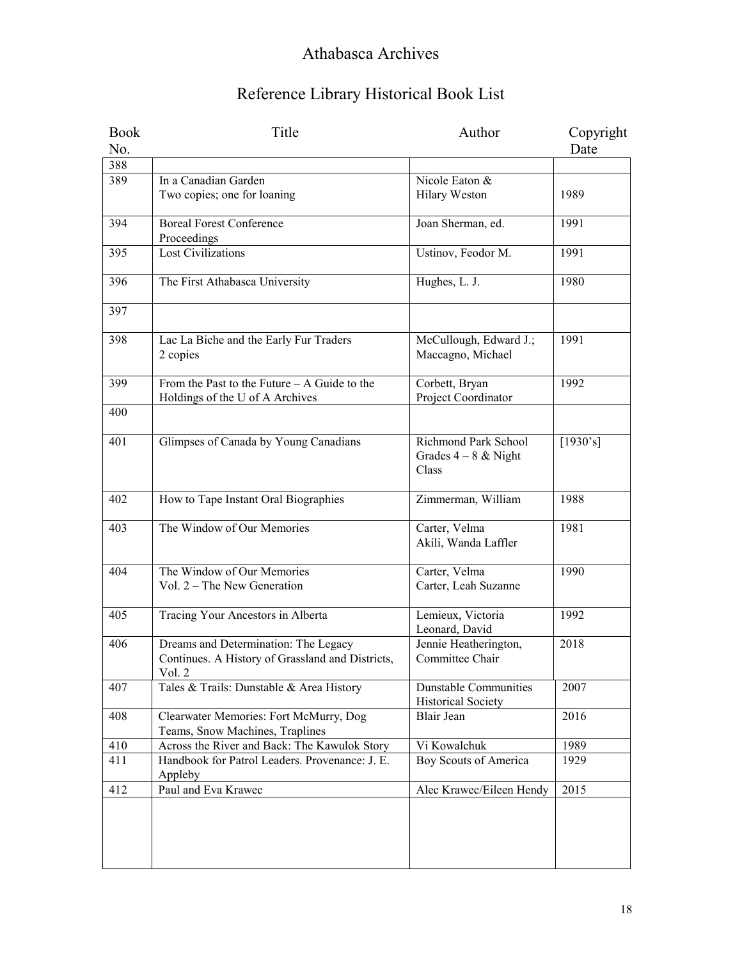| <b>Book</b> | Title                                                                                              | Author                                                  | Copyright |
|-------------|----------------------------------------------------------------------------------------------------|---------------------------------------------------------|-----------|
| No.         |                                                                                                    |                                                         | Date      |
| 388         |                                                                                                    |                                                         |           |
| 389         | In a Canadian Garden                                                                               | Nicole Eaton &                                          |           |
|             | Two copies; one for loaning                                                                        | Hilary Weston                                           | 1989      |
| 394         | <b>Boreal Forest Conference</b><br>Proceedings                                                     | Joan Sherman, ed.                                       | 1991      |
| 395         | <b>Lost Civilizations</b>                                                                          | Ustinov, Feodor M.                                      | 1991      |
| 396         | The First Athabasca University                                                                     | Hughes, L. J.                                           | 1980      |
| 397         |                                                                                                    |                                                         |           |
| 398         | Lac La Biche and the Early Fur Traders<br>2 copies                                                 | McCullough, Edward J.;<br>Maccagno, Michael             | 1991      |
| 399         | From the Past to the Future $- A$ Guide to the<br>Holdings of the U of A Archives                  | Corbett, Bryan<br>Project Coordinator                   | 1992      |
| 400         |                                                                                                    |                                                         |           |
| 401         | Glimpses of Canada by Young Canadians                                                              | Richmond Park School<br>Grades $4 - 8$ & Night<br>Class | [1930's]  |
| 402         | How to Tape Instant Oral Biographies                                                               | Zimmerman, William                                      | 1988      |
| 403         | The Window of Our Memories                                                                         | Carter, Velma<br>Akili, Wanda Laffler                   | 1981      |
| 404         | The Window of Our Memories<br>Vol. $2$ – The New Generation                                        | Carter, Velma<br>Carter, Leah Suzanne                   | 1990      |
| 405         | Tracing Your Ancestors in Alberta                                                                  | Lemieux, Victoria<br>Leonard, David                     | 1992      |
| 406         | Dreams and Determination: The Legacy<br>Continues. A History of Grassland and Districts,<br>Vol. 2 | Jennie Heatherington,<br>Committee Chair                | 2018      |
| 407         | Tales & Trails: Dunstable & Area History                                                           | <b>Dunstable Communities</b><br>Historical Society      | 2007      |
| 408         | Clearwater Memories: Fort McMurry, Dog<br>Teams, Snow Machines, Traplines                          | Blair Jean                                              | 2016      |
| 410         | Across the River and Back: The Kawulok Story                                                       | Vi Kowalchuk                                            | 1989      |
| 411         | Handbook for Patrol Leaders. Provenance: J. E.<br>Appleby                                          | Boy Scouts of America                                   | 1929      |
| 412         | Paul and Eva Krawec                                                                                | Alec Krawec/Eileen Hendy                                | 2015      |
|             |                                                                                                    |                                                         |           |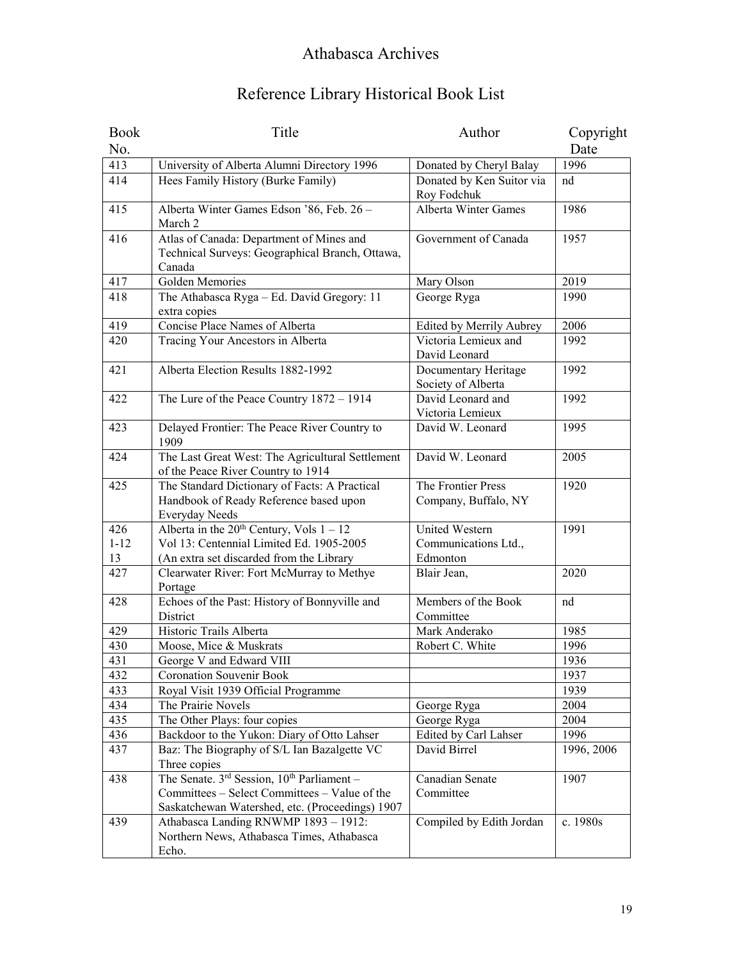| <b>Book</b> | Title                                                    | Author                    | Copyright  |
|-------------|----------------------------------------------------------|---------------------------|------------|
| No.         |                                                          |                           | Date       |
| 413         | University of Alberta Alumni Directory 1996              | Donated by Cheryl Balay   | 1996       |
| 414         | Hees Family History (Burke Family)                       | Donated by Ken Suitor via | nd         |
|             |                                                          | Roy Fodchuk               |            |
| 415         | Alberta Winter Games Edson '86, Feb. 26 -                | Alberta Winter Games      | 1986       |
|             | March 2                                                  |                           |            |
| 416         | Atlas of Canada: Department of Mines and                 | Government of Canada      | 1957       |
|             | Technical Surveys: Geographical Branch, Ottawa,          |                           |            |
|             | Canada                                                   |                           |            |
| 417         | Golden Memories                                          | Mary Olson                | 2019       |
| 418         | The Athabasca Ryga - Ed. David Gregory: 11               | George Ryga               | 1990       |
|             | extra copies                                             |                           |            |
| 419         | Concise Place Names of Alberta                           | Edited by Merrily Aubrey  | 2006       |
| 420         | Tracing Your Ancestors in Alberta                        | Victoria Lemieux and      | 1992       |
|             |                                                          | David Leonard             |            |
| 421         | Alberta Election Results 1882-1992                       | Documentary Heritage      | 1992       |
|             |                                                          | Society of Alberta        |            |
| 422         | The Lure of the Peace Country 1872 - 1914                | David Leonard and         | 1992       |
|             |                                                          | Victoria Lemieux          |            |
| 423         | Delayed Frontier: The Peace River Country to<br>1909     | David W. Leonard          | 1995       |
| 424         | The Last Great West: The Agricultural Settlement         | David W. Leonard          | 2005       |
|             | of the Peace River Country to 1914                       |                           |            |
| 425         | The Standard Dictionary of Facts: A Practical            | The Frontier Press        | 1920       |
|             | Handbook of Ready Reference based upon<br>Everyday Needs | Company, Buffalo, NY      |            |
| 426         | Alberta in the $20^{th}$ Century, Vols $1 - 12$          | <b>United Western</b>     | 1991       |
| $1 - 12$    | Vol 13: Centennial Limited Ed. 1905-2005                 | Communications Ltd.,      |            |
| 13          | (An extra set discarded from the Library                 | Edmonton                  |            |
| 427         | Clearwater River: Fort McMurray to Methye                | Blair Jean,               | 2020       |
|             | Portage                                                  |                           |            |
| 428         | Echoes of the Past: History of Bonnyville and            | Members of the Book       | nd         |
|             | District                                                 | Committee                 |            |
| 429         | Historic Trails Alberta                                  | Mark Anderako             | 1985       |
| 430         | Moose, Mice & Muskrats                                   | Robert C. White           | 1996       |
| 431         | George V and Edward VIII                                 |                           | 1936       |
| 432         | <b>Coronation Souvenir Book</b>                          |                           | 1937       |
| 433         | Royal Visit 1939 Official Programme                      |                           | 1939       |
| 434         | The Prairie Novels                                       | George Ryga               | 2004       |
| 435         | The Other Plays: four copies                             | George Ryga               | 2004       |
| 436         | Backdoor to the Yukon: Diary of Otto Lahser              | Edited by Carl Lahser     | 1996       |
| 437         | Baz: The Biography of S/L Ian Bazalgette VC              | David Birrel              | 1996, 2006 |
|             | Three copies                                             |                           |            |
| 438         | The Senate. $3^{rd}$ Session, $10^{th}$ Parliament -     | Canadian Senate           | 1907       |
|             | Committees - Select Committees - Value of the            | Committee                 |            |
|             | Saskatchewan Watershed, etc. (Proceedings) 1907          |                           |            |
| 439         | Athabasca Landing RNWMP 1893 - 1912:                     | Compiled by Edith Jordan  | c. 1980s   |
|             | Northern News, Athabasca Times, Athabasca                |                           |            |
|             | Echo.                                                    |                           |            |